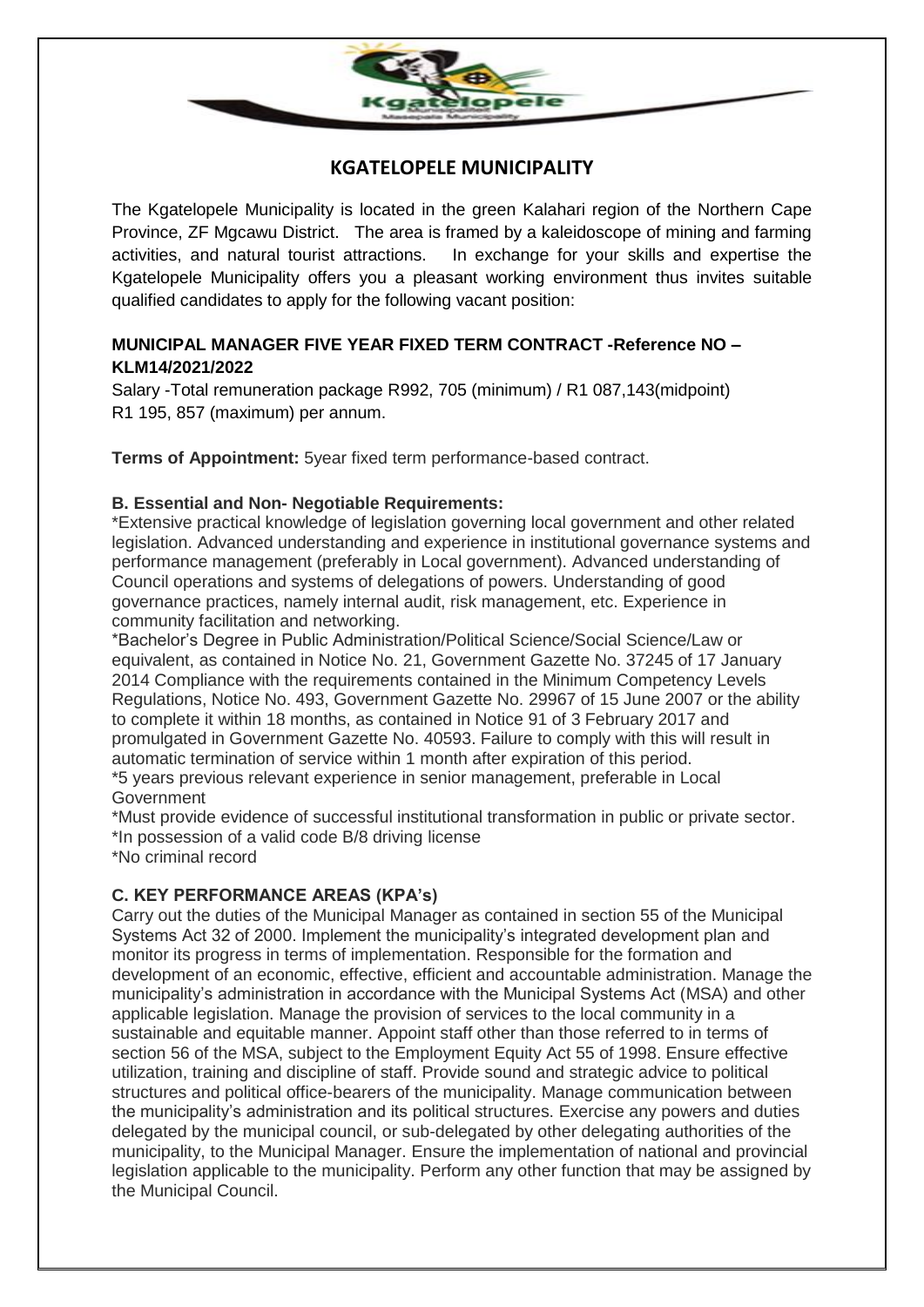

# **KGATELOPELE MUNICIPALITY**

The Kgatelopele Municipality is located in the green Kalahari region of the Northern Cape Province, ZF Mgcawu District. The area is framed by a kaleidoscope of mining and farming activities, and natural tourist attractions. In exchange for your skills and expertise the Kgatelopele Municipality offers you a pleasant working environment thus invites suitable qualified candidates to apply for the following vacant position:

## **MUNICIPAL MANAGER FIVE YEAR FIXED TERM CONTRACT -Reference NO – KLM14/2021/2022**

Salary -Total remuneration package R992, 705 (minimum) / R1 087,143(midpoint) R1 195, 857 (maximum) per annum.

**Terms of Appointment:** 5year fixed term performance-based contract.

### **B. Essential and Non- Negotiable Requirements:**

\*Extensive practical knowledge of legislation governing local government and other related legislation. Advanced understanding and experience in institutional governance systems and performance management (preferably in Local government). Advanced understanding of Council operations and systems of delegations of powers. Understanding of good governance practices, namely internal audit, risk management, etc. Experience in community facilitation and networking.

\*Bachelor's Degree in Public Administration/Political Science/Social Science/Law or equivalent, as contained in Notice No. 21, Government Gazette No. 37245 of 17 January 2014 Compliance with the requirements contained in the Minimum Competency Levels Regulations, Notice No. 493, Government Gazette No. 29967 of 15 June 2007 or the ability to complete it within 18 months, as contained in Notice 91 of 3 February 2017 and promulgated in Government Gazette No. 40593. Failure to comply with this will result in automatic termination of service within 1 month after expiration of this period. \*5 years previous relevant experience in senior management, preferable in Local **Government** 

\*Must provide evidence of successful institutional transformation in public or private sector. \*In possession of a valid code B/8 driving license

\*No criminal record

## **C. KEY PERFORMANCE AREAS (KPA's)**

Carry out the duties of the Municipal Manager as contained in section 55 of the Municipal Systems Act 32 of 2000. Implement the municipality's integrated development plan and monitor its progress in terms of implementation. Responsible for the formation and development of an economic, effective, efficient and accountable administration. Manage the municipality's administration in accordance with the Municipal Systems Act (MSA) and other applicable legislation. Manage the provision of services to the local community in a sustainable and equitable manner. Appoint staff other than those referred to in terms of section 56 of the MSA, subject to the Employment Equity Act 55 of 1998. Ensure effective utilization, training and discipline of staff. Provide sound and strategic advice to political structures and political office-bearers of the municipality. Manage communication between the municipality's administration and its political structures. Exercise any powers and duties delegated by the municipal council, or sub-delegated by other delegating authorities of the municipality, to the Municipal Manager. Ensure the implementation of national and provincial legislation applicable to the municipality. Perform any other function that may be assigned by the Municipal Council.